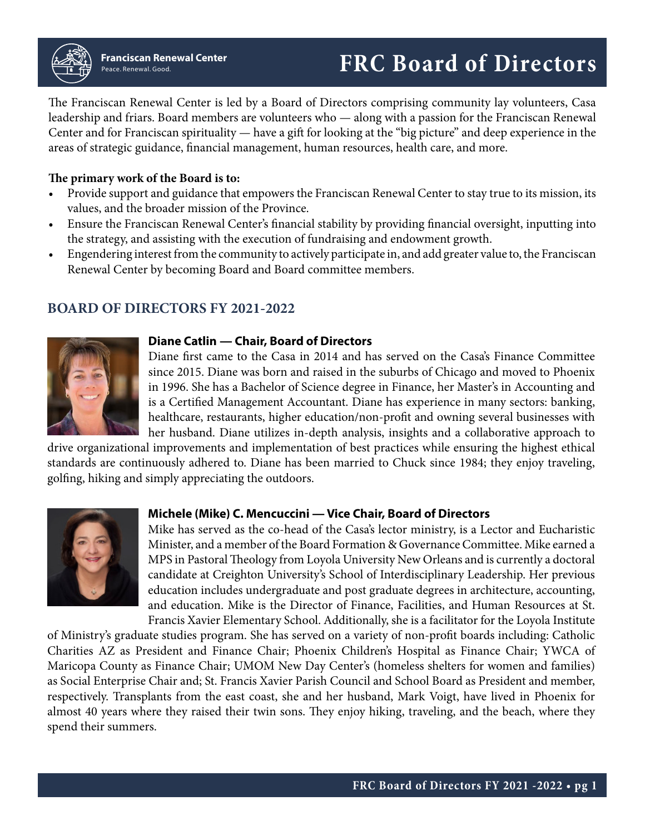# Peace. Renewal. Good. **FRC Board of Directors Franciscan Renewal Center**

The Franciscan Renewal Center is led by a Board of Directors comprising community lay volunteers, Casa leadership and friars. Board members are volunteers who — along with a passion for the Franciscan Renewal Center and for Franciscan spirituality — have a gift for looking at the "big picture" and deep experience in the areas of strategic guidance, financial management, human resources, health care, and more.

## **The primary work of the Board is to:**

- Provide support and guidance that empowers the Franciscan Renewal Center to stay true to its mission, its values, and the broader mission of the Province.
- Ensure the Franciscan Renewal Center's financial stability by providing financial oversight, inputting into the strategy, and assisting with the execution of fundraising and endowment growth.
- Engendering interest from the community to actively participate in, and add greater value to, the Franciscan Renewal Center by becoming Board and Board committee members.

## **BOARD OF DIRECTORS FY 2021-2022**



#### **Diane Catlin — Chair, Board of Directors**

Diane first came to the Casa in 2014 and has served on the Casa's Finance Committee since 2015. Diane was born and raised in the suburbs of Chicago and moved to Phoenix in 1996. She has a Bachelor of Science degree in Finance, her Master's in Accounting and is a Certified Management Accountant. Diane has experience in many sectors: banking, healthcare, restaurants, higher education/non-profit and owning several businesses with her husband. Diane utilizes in-depth analysis, insights and a collaborative approach to

drive organizational improvements and implementation of best practices while ensuring the highest ethical standards are continuously adhered to. Diane has been married to Chuck since 1984; they enjoy traveling, golfing, hiking and simply appreciating the outdoors.



## **Michele (Mike) C. Mencuccini — Vice Chair, Board of Directors**

Mike has served as the co-head of the Casa's lector ministry, is a Lector and Eucharistic Minister, and a member of the Board Formation & Governance Committee. Mike earned a MPS in Pastoral Theology from Loyola University New Orleans and is currently a doctoral candidate at Creighton University's School of Interdisciplinary Leadership. Her previous education includes undergraduate and post graduate degrees in architecture, accounting, and education. Mike is the Director of Finance, Facilities, and Human Resources at St. Francis Xavier Elementary School. Additionally, she is a facilitator for the Loyola Institute

of Ministry's graduate studies program. She has served on a variety of non-profit boards including: Catholic Charities AZ as President and Finance Chair; Phoenix Children's Hospital as Finance Chair; YWCA of Maricopa County as Finance Chair; UMOM New Day Center's (homeless shelters for women and families) as Social Enterprise Chair and; St. Francis Xavier Parish Council and School Board as President and member, respectively. Transplants from the east coast, she and her husband, Mark Voigt, have lived in Phoenix for almost 40 years where they raised their twin sons. They enjoy hiking, traveling, and the beach, where they spend their summers.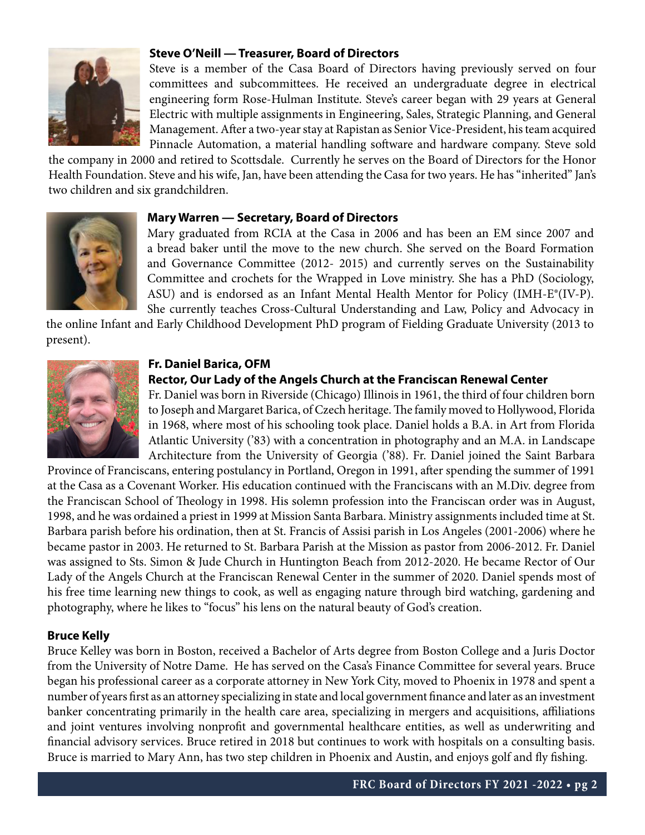

## **Steve O'Neill — Treasurer, Board of Directors**

Steve is a member of the Casa Board of Directors having previously served on four committees and subcommittees. He received an undergraduate degree in electrical engineering form Rose-Hulman Institute. Steve's career began with 29 years at General Electric with multiple assignments in Engineering, Sales, Strategic Planning, and General Management. After a two-year stay at Rapistan as Senior Vice-President, his team acquired Pinnacle Automation, a material handling software and hardware company. Steve sold

the company in 2000 and retired to Scottsdale. Currently he serves on the Board of Directors for the Honor Health Foundation. Steve and his wife, Jan, have been attending the Casa for two years. He has "inherited" Jan's two children and six grandchildren.



#### **Mary Warren — Secretary, Board of Directors**

Mary graduated from RCIA at the Casa in 2006 and has been an EM since 2007 and a bread baker until the move to the new church. She served on the Board Formation and Governance Committee (2012- 2015) and currently serves on the Sustainability Committee and crochets for the Wrapped in Love ministry. She has a PhD (Sociology, ASU) and is endorsed as an Infant Mental Health Mentor for Policy (IMH-E®(IV-P). She currently teaches Cross-Cultural Understanding and Law, Policy and Advocacy in

the online Infant and Early Childhood Development PhD program of Fielding Graduate University (2013 to present).



## **Fr. Daniel Barica, OFM**

#### **Rector, Our Lady of the Angels Church at the Franciscan Renewal Center**

Fr. Daniel was born in Riverside (Chicago) Illinois in 1961, the third of four children born to Joseph and Margaret Barica, of Czech heritage. The family moved to Hollywood, Florida in 1968, where most of his schooling took place. Daniel holds a B.A. in Art from Florida Atlantic University ('83) with a concentration in photography and an M.A. in Landscape Architecture from the University of Georgia ('88). Fr. Daniel joined the Saint Barbara

Province of Franciscans, entering postulancy in Portland, Oregon in 1991, after spending the summer of 1991 at the Casa as a Covenant Worker. His education continued with the Franciscans with an M.Div. degree from the Franciscan School of Theology in 1998. His solemn profession into the Franciscan order was in August, 1998, and he was ordained a priest in 1999 at Mission Santa Barbara. Ministry assignments included time at St. Barbara parish before his ordination, then at St. Francis of Assisi parish in Los Angeles (2001-2006) where he became pastor in 2003. He returned to St. Barbara Parish at the Mission as pastor from 2006-2012. Fr. Daniel was assigned to Sts. Simon & Jude Church in Huntington Beach from 2012-2020. He became Rector of Our Lady of the Angels Church at the Franciscan Renewal Center in the summer of 2020. Daniel spends most of his free time learning new things to cook, as well as engaging nature through bird watching, gardening and photography, where he likes to "focus" his lens on the natural beauty of God's creation.

#### **Bruce Kelly**

Bruce Kelley was born in Boston, received a Bachelor of Arts degree from Boston College and a Juris Doctor from the University of Notre Dame. He has served on the Casa's Finance Committee for several years. Bruce began his professional career as a corporate attorney in New York City, moved to Phoenix in 1978 and spent a number of years first as an attorney specializing in state and local government finance and later as an investment banker concentrating primarily in the health care area, specializing in mergers and acquisitions, affiliations and joint ventures involving nonprofit and governmental healthcare entities, as well as underwriting and financial advisory services. Bruce retired in 2018 but continues to work with hospitals on a consulting basis. Bruce is married to Mary Ann, has two step children in Phoenix and Austin, and enjoys golf and fly fishing.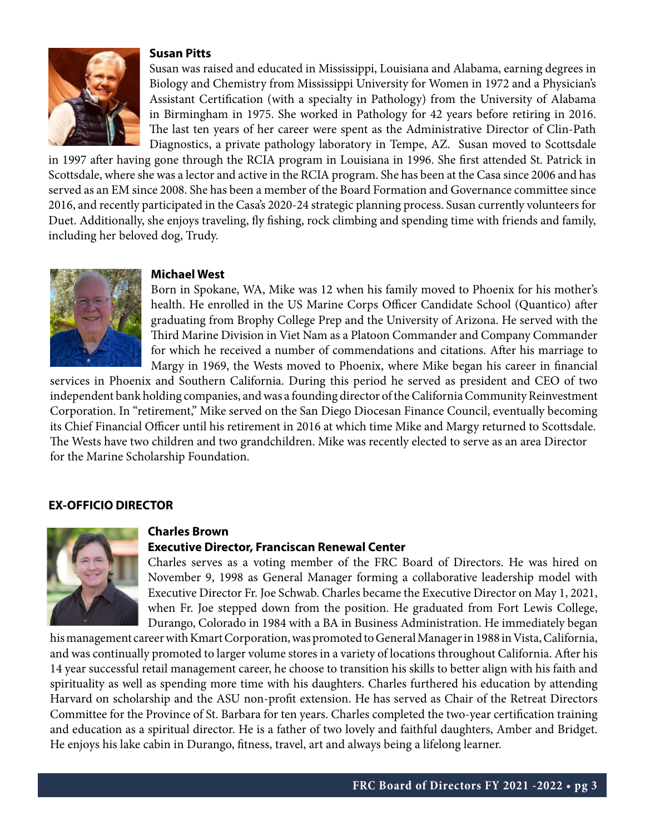## **Susan Pitts**



Susan was raised and educated in Mississippi, Louisiana and Alabama, earning degrees in Biology and Chemistry from Mississippi University for Women in 1972 and a Physician's Assistant Certification (with a specialty in Pathology) from the University of Alabama in Birmingham in 1975. She worked in Pathology for 42 years before retiring in 2016. The last ten years of her career were spent as the Administrative Director of Clin-Path Diagnostics, a private pathology laboratory in Tempe, AZ. Susan moved to Scottsdale

in 1997 after having gone through the RCIA program in Louisiana in 1996. She first attended St. Patrick in Scottsdale, where she was a lector and active in the RCIA program. She has been at the Casa since 2006 and has served as an EM since 2008. She has been a member of the Board Formation and Governance committee since 2016, and recently participated in the Casa's 2020-24 strategic planning process. Susan currently volunteers for Duet. Additionally, she enjoys traveling, fly fishing, rock climbing and spending time with friends and family, including her beloved dog, Trudy.



#### **Michael West**

Born in Spokane, WA, Mike was 12 when his family moved to Phoenix for his mother's health. He enrolled in the US Marine Corps Officer Candidate School (Quantico) after graduating from Brophy College Prep and the University of Arizona. He served with the Third Marine Division in Viet Nam as a Platoon Commander and Company Commander for which he received a number of commendations and citations. After his marriage to Margy in 1969, the Wests moved to Phoenix, where Mike began his career in financial

services in Phoenix and Southern California. During this period he served as president and CEO of two independent bank holding companies, and was a founding director of the California Community Reinvestment Corporation. In "retirement," Mike served on the San Diego Diocesan Finance Council, eventually becoming its Chief Financial Officer until his retirement in 2016 at which time Mike and Margy returned to Scottsdale. The Wests have two children and two grandchildren. Mike was recently elected to serve as an area Director for the Marine Scholarship Foundation.

## **EX-OFFICIO DIRECTOR**



#### **Charles Brown**

#### **Executive Director, Franciscan Renewal Center**

Charles serves as a voting member of the FRC Board of Directors. He was hired on November 9, 1998 as General Manager forming a collaborative leadership model with Executive Director Fr. Joe Schwab. Charles became the Executive Director on May 1, 2021, when Fr. Joe stepped down from the position. He graduated from Fort Lewis College, Durango, Colorado in 1984 with a BA in Business Administration. He immediately began

his management career with Kmart Corporation, was promoted to General Manager in 1988 in Vista, California, and was continually promoted to larger volume stores in a variety of locations throughout California. After his 14 year successful retail management career, he choose to transition his skills to better align with his faith and spirituality as well as spending more time with his daughters. Charles furthered his education by attending Harvard on scholarship and the ASU non-profit extension. He has served as Chair of the Retreat Directors Committee for the Province of St. Barbara for ten years. Charles completed the two-year certification training and education as a spiritual director. He is a father of two lovely and faithful daughters, Amber and Bridget. He enjoys his lake cabin in Durango, fitness, travel, art and always being a lifelong learner.